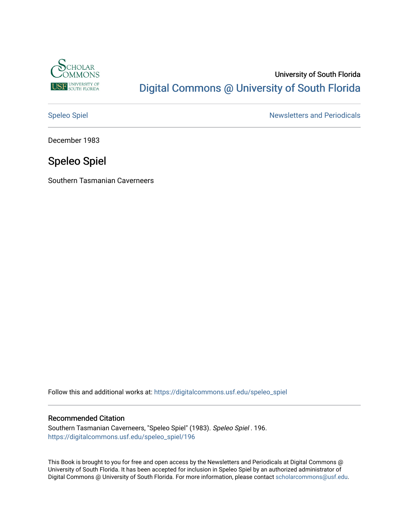

# University of South Florida [Digital Commons @ University of South Florida](https://digitalcommons.usf.edu/)

[Speleo Spiel](https://digitalcommons.usf.edu/speleo_spiel) Newsletters and Periodicals

December 1983

# Speleo Spiel

Southern Tasmanian Caverneers

Follow this and additional works at: [https://digitalcommons.usf.edu/speleo\\_spiel](https://digitalcommons.usf.edu/speleo_spiel?utm_source=digitalcommons.usf.edu%2Fspeleo_spiel%2F196&utm_medium=PDF&utm_campaign=PDFCoverPages)

# Recommended Citation

Southern Tasmanian Caverneers, "Speleo Spiel" (1983). Speleo Spiel . 196. [https://digitalcommons.usf.edu/speleo\\_spiel/196](https://digitalcommons.usf.edu/speleo_spiel/196?utm_source=digitalcommons.usf.edu%2Fspeleo_spiel%2F196&utm_medium=PDF&utm_campaign=PDFCoverPages)

This Book is brought to you for free and open access by the Newsletters and Periodicals at Digital Commons @ University of South Florida. It has been accepted for inclusion in Speleo Spiel by an authorized administrator of Digital Commons @ University of South Florida. For more information, please contact [scholarcommons@usf.edu.](mailto:scholarcommons@usf.edu)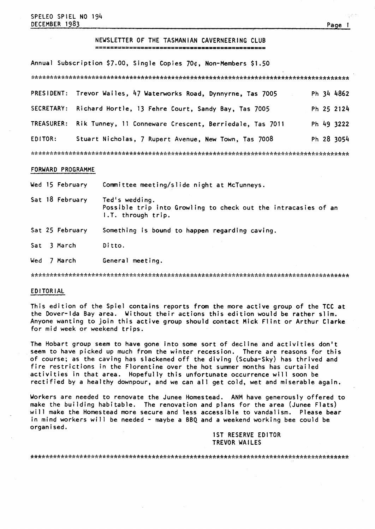# NEWSLETTER OF THE TASMANIAN CAVERNEERING CLUB

Annual Subscription \$7.00, Single Copies 70¢, Non-Members \$1.50

|                   | PRESIDENT: Trevor Wailes, 47 Waterworks Road, Dynnyrne, Tas 7005 | Ph 34 4862 |
|-------------------|------------------------------------------------------------------|------------|
| SECRETARY:        | Richard Hortle, 13 Fehre Court, Sandy Bay, Tas 7005              | Ph 25 2124 |
| <b>TREASURER:</b> | Rik Tunney, 11 Conneware Crescent, Berriedale, Tas 7011          | Ph 49 3222 |
| EDITOR:           | Stuart Nicholas, 7 Rupert Avenue, New Town, Tas 7008             | Ph 28 3054 |
|                   |                                                                  |            |

#### FORWARD PROGRAMME

Wed 15 February Committee meeting/slide night at McTunneys.

- Sat 18 February Ted's wedding. Possible trip into Growling to check out the intracasies of an I .T. through trip.
- Sat 25 February Something is bound to happen regarding caving.
- Sat 3 March Ditto.
- Wed 7 March General meeting.

# EDITORIAL

This edition of the Spiel contains reports from the more active group of the TCC at the Dover-lda Bay area. Without their actions this edition would be rather slim. Anyone wanting to join this active group should contact Mick Flint or Arthur Clarke for mid week or weekend trips.

The Hobart group seem to have gone into some sort of decline and activities don't seem to have picked up much from the winter recession. There are reasons for this of course; as the caving has slackened off the diving (scuba-sky) has thrived and fire restrictions in the Florentine over the hot summer months has curtailed activities in that area. Hopefully this unfortunate occurrence will soon be rectified by a healthy downpour, and we can all get cold, wet and miserable again.

Workers are needed to renovate the Junee Homestead. ANM have generously offered to make the building habitable. The renovation and plans for the area (Junee Flats) will make the Homestead more secure and less accessible to vandalism. Please bear in mind workers will be needed - maybe a BBQ and a weekend working bee could be organised.

> IST RESERVE EDITOR TREVOR WAILES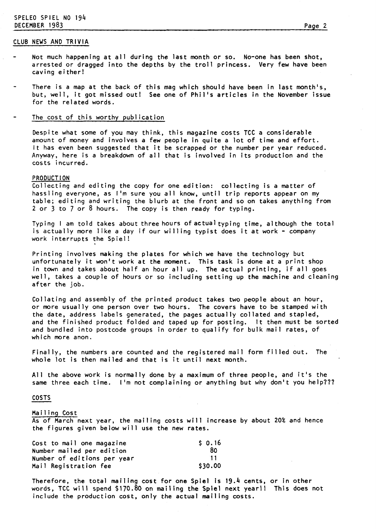# SPELEO SPIEL NO 194 DECEMBER 1983 Page 2

# CLUB NEWS AND TRIVIA

- Not much happening at all during the last month or so. No-one has been shot, arrested or dragged into the depths by the troll princess. Very few have been caving either!
- There is a map at the back of this mag which should have been in last month's, but, well, it got missed out! See one of Phil's articles in the November issue for the related words.

# The cost of this worthy publication

Despite what some of you may think, this magazine costs TCC a considerable amount of money and involves a few people in quite a lot of time and effort. It has even been suggested that it be scrapped or the number per year reduced. Anyway, here is a breakdown of all that is involved in its production and the costs incurred.

### PRODUCTION

Collecting and editing the copy for one edition: collecting is a matter of hassling everyone, as I'm sure you all know, until trip reports appear on my table; editing and writing the blurb at the front and so on takes anything from 2 or **3** to 7 or 8 hours. The copy is then ready for typing.

Typing I am told takes about three hours of actual typing time, although the total is actually more like a day if our willing typist does it at work - company work interrupts the Spiel! **<sup>I</sup>**

Printing involves making the plates for which we have the technology but unfortunately it won't work at the moment. This task is done at a print shop in town and takes about half an hour all up. The actual printing, if all goes well, takes a couple of hours or so including setting up the machine and cleaning after the job.

Collating and assembly of the printed product takes two people about an hour, or more usually one person over two hours. The covers have to be stamped with the date, address labels generated, the pages actually collated and stapled, and the finished product folded and taped up for posting. It then must be sorted and bundled into postcode groups in order to qualify for bulk mail rates, of which more anon.

Finally, the numbers are counted and the registered mail form filled out. The whole lot is then mailed and that is it until next month.

All the above work is normally done by a maximum of three people, and it's the same three each time. I'm not complaining or anything but why don't you help???

### COSTS

#### Mailing Cost

As of March next year, the mailing costs will increase by about 20% and hence the figures given below will use the new rates.

| Cost to mail one magazine   | \$0.16  |
|-----------------------------|---------|
| Number mailed per edition   | 80      |
| Number of editions per year | ำ 1     |
| Mail Registration fee       | \$30.00 |

Therefore, the total mailing cost for one Spiel is 19.4 cents, or in other words, TCC will spend \$170.80 on mailing the Spiel next year!! This does not include the production cost, only the actual mailing costs.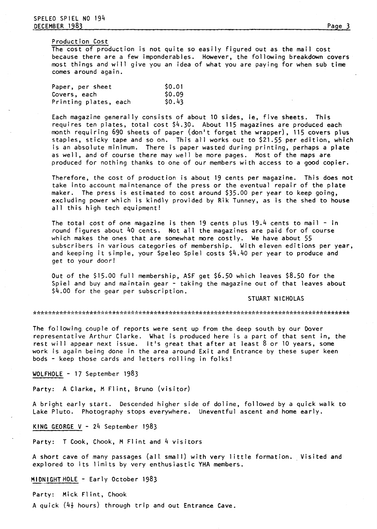#### Production Cost

The cost of production is not quite so easily figured out as the mail cost because there are a few imponderables. However, the following breakdown covers most things and will give you an idea of what you are paying for when sub time comes around again.

| Paper, per sheet      | \$0.01 |
|-----------------------|--------|
| Covers, each          | \$0.09 |
| Printing plates, each | \$0.43 |

Each magazine generally consists of about 10 sides, ie, five sheets. This requires ten plates, total cost \$4.30. About 115 magazines are produced each month requiring 690 sheets of paper (don't forget the wrapper), 115 covers plus staples, sticky tape and so on. This all works out to \$21.55 per edition, which is an absolute minimum. There is paper wasted during printing, perhaps a plate as well, and of course there may well be more pages. Most of the maps are produced for nothing thanks to one of our members with access to a good copier.

Therefore, the cost of production is about 19 cents per magazine. This does not take into account maintenance of the press or the eventual repair of the plate maker. The press is estimated to cost around \$35.00 per year to keep going, excluding power which is kindly provided by Rik Tunney, as is the shed to house all this high tech equipment!

The total cost of one magazine is then 19 cents plus  $19.4$  cents to mail - in round figures about 40 cents. Not all the magazines are paid for of course which makes the ones that are somewhat more costly. We have about 55 subscribers in various categories of membership. With eleven editions per year, and keeping it simple, your Speleo Spiel costs \$4.40 per year to produce and get to your door!

Out of the \$15.00 full membership, ASF get \$6.50 which leaves \$8.50 for the Spiel and buy and maintain gear - taking the magazine out of that leaves about \$4.00 for the gear per subscription.

STUART NICHOLAS

The following couple of reports were sent up from the deep south by our Dover representative Arthur Clarke. What is produced here is a part of that sent in, the rest will appear next issue. It's great that after at least 8 or 10 years, some work is again being done in the area around Exit and Entrance by these super keen bods - keep those cards and letters rolling in folks!

WOLFHOLE - 17 September 1983

Party: A Clarke, M Flint, Bruno (visitor)

A bright early start. Descended higher side of doline, followed by a quick walk to Lake Pluto. Photography stops everywhere. Uneventful ascent and home early.

KING GEORGE V - 24 September 1983

Party: T Cook, Chook, M Flint and 4 visitors

A short cave of many passages (all small) with very little formation. Visited and explored to its limits by very enthusiastic YHA members.

MIDNIGHTHOLE - Early October 1983

Party: Mick Flint, Chook

A quick  $(4\frac{1}{2}$  hours) through trip and out Entrance Cave.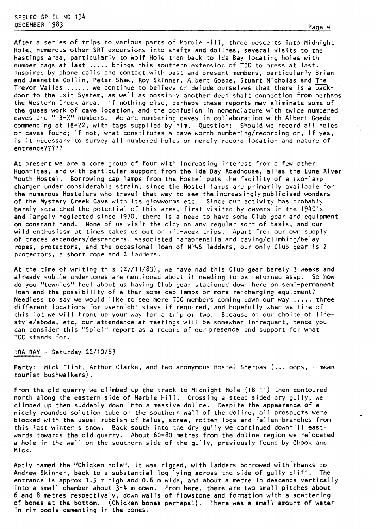SPELEO SPIEL NO 194<br>DECEMBER 1983 DECEMBER 1983 Page 4

After a series of trips to various parts of Marble Hill, three descents into Midnight Hole, numerous other SRT excursions into shafts and dolines, several visits to the Hastings area, particularly to Wolf Hole then back to Ida Bay locating holes with number tags at last ..... brings this southern extension of TCC to press at last. Inspired by phone calls and contact with past and present members, particularly Brian and Jeanette Collin, Peter Shaw, Roy Skinner, Albert Goede, Stuart Nicholas and The Trevor Wailes ...... we continue to believe or delude ourselves that there is a backdoor to the Exit System, as well as possibly another deep shaft connection from perhaps the Western Creek area. If nothing else, perhaps these reports may eliminate some of the guess work of cave location, and the confusion in nomenclature with twice numbered caves and "IB-X" numbers. We are numbering caves in collaboration with Albert Goede commencing at 18-22, with tags supplied by him. Question: Should we record all holes or caves found; if not, what constitutes a cave worth numbering/recording or, if yes, is it necessary to survey all numbered holes or merely record location and nature of entrance?????

At present we are a core group of four with increasing interest from a few other Huon-ites, and with particular support from the Ida Bay Roadhouse, alias the Lune River Youth Hostel. Borrowing cap lamps from the Hostel puts the facility of a two-lamp charger under considerable strain, since the Hostel lamps are primarily available for the numerous Hostelers who travel that way to see the increasinglypublicised wonders of the Mystery Creek Cave with its glowworms etc. Since our activity has probably barely scratched the potential of this area, first visited by cavers in the 1940's and largely neglected since 1970, there is a need to have some Club gear and equipment on constant hand. None of us visit the city on any regular sort of basis, and our wild enthusiasm at times takes us out on mid-week trips. Apart from our own supply of traces ascenders/descenders, associated paraphenalia and caving/climbing/belay ropes, protectors, and the occasional loan of NPWS ladders, our only Club gear is 2 protectors, a short rope and 2 ladders.

At the time of writing this (27/11/83), we have had this Club gear barely **3** weeks and already subtle undertones are mentioned about it needing to be returned asap. So how do you "townies" feel about us having Club gear stationed down here on semi-permanent loan and the possibility of either some cap lamps or more re-charging equipment? Needless to say we would like to see more TCC members coming down our way ..... three different locations for overnight stays if required, and hopefully when we tire of this lot we will front up your way for a trip or two. Because of our choice of lifestyle/abode, etc, our attendance at meetings will be somewhat infrequent, hence you can consider this "Spiel" report as a record of our presence and support for what TCC stands for.

# IDA BAY - Saturday 22/10/83

Party: Mick Flint, Arthur Clarke, and two anonymous Hostel Sherpas (... oops, I mean tourist bushwalkers).

From the old quarry we climbed up the track to Midnight Hole (IB 11) then contoured north along the eastern side of Marble Hill. Crossing a steep sided dry gully, we climbed up then suddenly down into a massive doline. Despite the appearance of a nicely rounded solution tube on the southern wall of the doline, all prospects were blocked with the usual rubbish of talus, scree, rotten logs and fallen branches from this last winter's snow. Back south into the dry gully we continued downhill eastwards towards the old quarry. About 60-80 metres from the doline region we relocated a hole in the wall on the southern side of the gully, previously found by Chook and Mick.

Aptly named the "Chicken Hole", it was rigged, with ladders borrowed with thanks to Andrew Skinner, back to a substantial log lying across the side of gully cliff. The entrance is approx 1.5 m high and 0.6 m wide, and about a metre in descends vertically into a small chamber about 3-4 m down. From here, there are two small pitches about 6 and 8 metres respectively, down walls of flowstone and formation with a scattering of bones at the bottom. (chicken bones perhapsl). There was a small amount of water in rim pools cementing in the bones.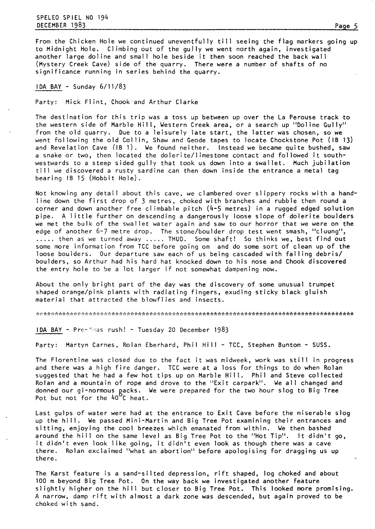SPELEO SPIEL NO 194 DECEMBER 1983 Page **5** 

From the Chicken Hole we continued uneventfully till seeing the flag markers going up to Midnight Hole. Climbing out of the gully we went north again, investigated another large doline and small hole beside it then soon reached the back wall (Mystery Creek Cave) side of the quarry. There were a number of shafts of no significance running in series behind the quarry.

IDA BAY - Sunday 6/11/83

Party: Mick Flint, Chook and Arthur Clarke

The destination for this trip was a toss up between up over the La Perouse track to the western side of Marble Hill, Western Creek area, or a search up "Doline Gully" from the old quarry. Due to a leisurely late start, the latter was chosen, so we went following the old Collin, Shaw and Geode tapes to locate Chockstone Pot (IB 13) and Revelat ion Cave (IB 1). We found neither. Instead we became quite bushed, saw a snake or two, then located the dolerite/limestone contact and followed it southwestwards to a steep sided gully that took us down into a swallet. Much jubilation till we discovered a rusty sardine can then down inside the entrance a metal tag  $\frac{1}{2}$  **bearing**  $\frac{1}{2}$   $\frac{1}{2}$   $\frac{1}{2}$   $\frac{1}{2}$   $\frac{1}{2}$   $\frac{1}{2}$   $\frac{1}{2}$   $\frac{1}{2}$   $\frac{1}{2}$   $\frac{1}{2}$   $\frac{1}{2}$   $\frac{1}{2}$   $\frac{1}{2}$   $\frac{1}{2}$   $\frac{1}{2}$   $\frac{1}{2}$   $\frac{1}{2}$   $\frac{1}{2}$   $\frac{1}{2}$   $\frac{1}{2}$ 

Not knowing any detail about this cave, we clambered over slippery rocks with a handline down the first drop of 3 metres, choked with branches and rubble then round a corner and down another free cl imbable pitch (4-5 metres) in a rugged edged solution pipe. A little further on descending a dangerously loose slope of dolerite boulders we met the bulk of the swallet water again and saw to our horror that we were on the edge of another 6-7 metre drop. The stone/boulder drop test went smash, "cluung", ..... then as we turned away ..... THUD. Some shaft! So thinks we, best find out some more information from TCC before going on and do some sort of clean up of the loose boulders. Our departure saw each of us being cascaded with falling debris/ boulders, so Arthur had his hard hat knocked down to his nose and Chook discovered the entry hole to be a lot larger if not somewhat dampening now.

About the only bright part of the day was the discovery of some unusual trumpet shaped orange/pink plants with radiating fingers, exuding sticky black gluish material that attracted the blowfl ies and insects.

IDA BAY - Pre-Ymas rush! - Tuesday 20 December 1983

Party: Martyn Carnes, Rolan Eberhard, Phil Hill - TCC, Stephen Bunton - SUSS.

The Florentine was closed due to the fact it was midweek, work was still in progress and there was a high fire danger. TCC were at a loss for things to do when Rolan suggested that he had a few hot tips up on Marble Hill. Phil and Steve collected Rolan and a mountain of rope and drove to the "Exit carpark". We all changed and donned our gi-normous gacks. We were prepared for the two hour slog to Big Tree Pot but not for the 40°C heat.

Last gulps of water were had at the entrance to Exit Cave before the miserable slog up the hill. We passed Mini-Martin and Big Tree Pot examining their entrances and sitting, enjoying the cool breezes which emanated from within. We then bashed around the hill on the same level as Big Tree Pot to the "Hot Tip". It didn't go, it didn't even look like going, it didn't even look as though there was a cave The didn't even flook fike going, it didn't even flook as though there was a cave<br>there. Rolan exclaimed "what an abortion" before apologising for dragging us up

The Karst feature is a sand-silted depression, rift shaped, log choked and about 100 m beyond Big Tree Pot. On the way back we investigated another feature slightly higher on the hill but closer to Big Tree Pot. This looked more promising. A narrow, damp rift with almost a dark zone was descended, but again proved to be choked with sand.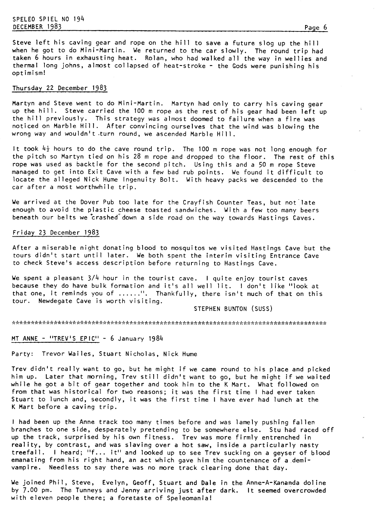# SPELEO SPIEL NO 194 DECEMBER 1983 Page 6

Steve left his caving gear and rope on the hill to save a future slog up the hill when he got to do Mini-Martin. We returned to the car slowly. The round trip had taken 6 hours in exhausting heat. Rolan, who had walked all the way in wellies and thermal long johns, almost collapsed of heat-stroke - the Gods were punishing his optimism!

# Thursday 22 December 1983

Martyn and Steve went to do Mini-Martin. Martyn had only to carry his caving gear up the hill. Steve carried the 100 m rope as the rest of his gear had been left up the hill previously. This strategy was almost doomed to failure when a fire was noticed on Marble Hill. After convincing ourselves that the wind was blowing the wrong way and wouldn't turn round, we ascended Marble Hill.

It took  $4\frac{1}{2}$  hours to do the cave round trip. The 100 m rope was not long enough for the pitch so Martyn tied on his 28 m rope and dropped to the floor. The rest of this rope was used as backtie for the second pitch. Using this and a 50 m rope Steve managed to get into Exit Cave with a few bad rub points. We found it difficult to locate the alleged Nick Hume Ingenuity Bolt. With heavy packs we descended to the car after a most worthwhile trip.

We arrived at the Dover Pub too late for the Crayfish Counter Teas, but not'late enough to avoid the plastic cheese toasted sandwiches. With a few too many beers beneath our belts we crashed down a side road on the way towards Hastings Caves.

#### Friday 23 December 1983

After a miserable night donating blood to mosquitos we visited Hastings Cave but the tours didn't start until later. We both spent the interim visiting Entrance Cave to check Steve's access description before returning to Hastings Cave.

We spent a pleasant **3/4** hour in the tourist cave. I quite enjoy tourist caves because they do have bulk formation and it's all well lit. I don't like "look at that one, it reminds you of ......". Thankfully, there isn't much of that on this tour. Newdegate Cave is worth visiting.

STEPHEN BUNTON (SUSS)

MT ANNE - "TREV'S EPIC" - 6 January 1984

Party: Trevor Wailes, Stuart Nicholas, Nick Hume

Trev didn't really want to go, but he might if we came round to his place and picked him up. Later that morning, Trev still didn't want to go, but he might if we waited while he got a bit of gear together and took him to the K Mart. What followed on from that was historical for two reasons; it was the first time I had ever taken Stuart to lunch and, secondly, it was the first time I have ever had lunch at the K Mart before a caving trip.

I had been up the Anne track too many times before and was lamely pushing fallen branches to one side, desperately pretending to be somewhere else. Stu had raced off up the track, surprised by his own fitness. Trev was more firmly entrenched in reality, by contrast, and was slaving over a hot saw, inside a particularly nasty treefall. I heard; "f... it" and looked up to see Trev sucking on a geyser of blood emanating from his right hand, an act which gave him the countenance of a demivampire. Needless to say there was no more track clearing done that day.

We joined Phil, Steve, Evelyn, Geoff, Stuart and Dale in the Anne-A-Kananda doline by 7.00 pm. The Tunneys and Jenny arriving just after dark. It seemed overcrowded with eleven people there; a foretaste of Speleomania!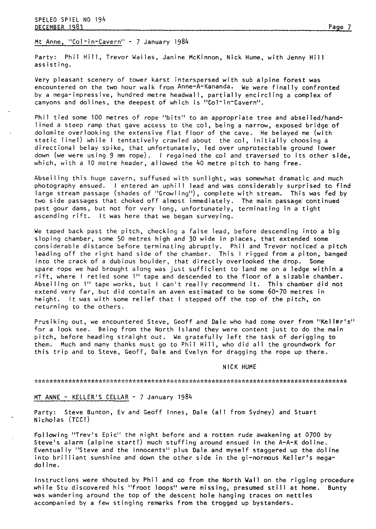Mt Anne, "Col-in-Cavern" - 7 January 1984

Party: Phil Hill, Trevor Wailes, Janine McKinnon, Nick Hume, with Jenny Hill assisting.

Very pleasant scenery of tower karst interspersed with sub alpine forest was encountered on the two hour walk from Anne-A-Kananda. We were finally confronted by a mega-impressive, hundred metre headwall, partially encircling a complex of canyons and dolines, the deepest of which is "Col<sup>-</sup>in<sup>-</sup>Cavern'

Phil tied some 100 metres of rope "bits" to an appropriate tree and abseiled/handlined a steep ramp that gave access to the col, being a narrow, exposed bridge of dolomite overlooking the extensive flat floor of the cave. He belayed me (with static line!) while I tentatively crawled about the col, initially choosing a directional belay spike, that unfortunately, led over unprotectable ground lower down (we were using **9** mm rope). I regained the col and traversed to its other side, which, with a 10 metre header, allowed the 40 metre pitch to hang free.

Abseiling this huge cavern, suffused with sunlight, was somewhat dramatic and much photography ensued. I entered an uphill lead and was considerably surprised to find large stream passage (shades of "Growling"), complete with stream. This was fed by two side passages that choked off almost immediately. The main passage'continued past gour dams, but not for very long, unfortunately, terminating in a tight ascending rift. It was here that we began surveying.

We taped back past the pitch, checking a false lead, before descending into a big sloping chamber, some 50 metres high and 30 wide in places, that extended some considerable distance before terminating abruptly. Phil and Trevor noticed a pitch leading off the right hand side of the chamber. This I rigged from a piton, banged into the crack of a dubious boulder, that directly overlooked the drop. Some spare rope we had brought along was just sufficient to land me on a ledge within a rift, where I retied some 1" tape and descended to the floor of a sizable chamber. Abseiling on 1" tape works, but l can't really recommend it. This chamber did not extend very far, but did contain an aven estimated to be some 60-70 metres in height. It was with some relief that I stepped off the top of the pitch, on returning to the others.

Prusiking out, we encountered Steve, Geoff and Dale who had come over from "Keller's" for a look see. Being from the North Island they were content just to do the main pitch, before heading straight out. We gratefully left the task of derigging to them. Much and many thanks must go to Phil Hill, who did all the groundwork for this trip and to Steve, Geoff, Dale and Evelyn for dragging the rope up there.

#### NICK HUME

#### 

# MT ANNE - KELLER'S CELLAR - 7 January 1984

Party: Steve Bunton, Ev and Geoff Innes, Dale (all from Sydney) and Stuart Nicholas (TCC!)

Following "Trevls Epic" the night before and a rotten rude awakening at 0700 by Steve's alarm (alpine start!) much stuffing around ensued in the A-A-K doline. Eventually "Steve and the Innocents" plus Dale and myself staggered up the doline into brilliant sunshine and down the other side in the gi-normous Keller's megado1 ine.

Instructions were shouted by Phil and CO from the North Wall on the rigging procedure while Stu discovered his "froot loops" were missing, presumed still at home. Bunty was wandering around the top of the descent hole hanging traces on nettles accompanied by a few stinging remarks from the trogged up bystanders.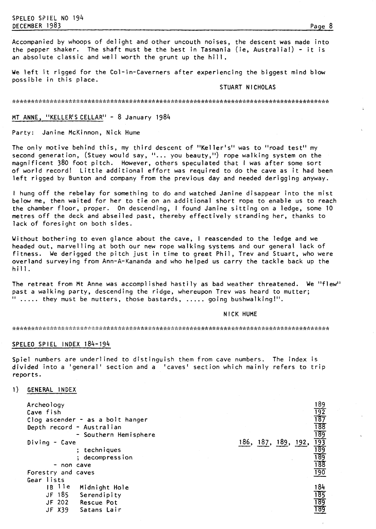Accompanied by whoops of delight and other uncouth noises, the descent was made into the pepper shaker. The shaft must be the best in Tasmania (ie, Australia!) - it is an absolute classic and well worth the grunt up the hill.

We left it rigged for the Col-in-Caverners after experiencing the biggest mind blow possible in this place.

# STUART NICHOLAS

# MT ANNE, "KELLER'S CELLAR" - 8 January 1984

Party: Janine McKinnon, Nick Hume

The only motive behind this, my third descent of "Keller's" was to "road test" my second generation, (Stuey would say, "... you beauty,") rope walking system on the magnificent 380 foot pitch. However, others speculated that I was after some sort of world record! Little additional effort was required to do the cave as it had been left rigged by Bunton and company from the previous day and needed derigging anyway.

I hung off the rebelay for something to do and watched Janine disappear into the mist below me, then waited for her to tie on an additional short rope to enable us to reach the chamber floor, proper. On descending, I found Janine sitting on a ledge, some 10 metres off the deck and abseiled past, thereby effectively stranding her, thanks to lack of foresight on both sides.

Without bothering to even glance about the cave, I reascended to the ledge and we headed out, marvelling at both our new rope walking systems and our general lack of fitness. We derigged the pitch just in time to greet Phil, Trev and Stuart, who were overland surveying from Ann-A-Kananda and who helped us carry the tackle back up the<br>hill.

The retreat from Mt Anne was accomplished hastily as bad weather threatened. We "flew" past a walking party, descending the ridge, whereupon Trev was heard to mutter;<br>" ..... they must be nutters, those bastards, ..... going bushwalking!".

#### NICK HUME

#### 

#### SPELEO SPIEL INDEX 184-194

Spiel numbers are underlined to distinguish them from cave numbers. The index is divided into a 'general' section and a 'caves' section which mainly refers to trip reports.

**1) GENERAL** INDEX

| Archeology<br>Cave fish                                 | Clog ascender - as a bolt hanger<br>Depth record - Australian<br>- Southern Hemisphere |           |           | 189<br>192<br>187<br>188<br>189<br>193 |
|---------------------------------------------------------|----------------------------------------------------------------------------------------|-----------|-----------|----------------------------------------|
| $Diving - Cave$                                         | ; techniques<br>; decompression                                                        | 186, 187, | 189, 192, | 189<br>189                             |
|                                                         | non cave                                                                               |           |           | 188                                    |
| Forestry and caves                                      |                                                                                        |           |           | $\frac{190}{ }$                        |
| Gear lists<br>11e<br>I B.<br>JF 185<br>JF 202<br>JF X39 | Midnight Hole<br>Serendipity<br>Rescue Pot<br>Satans Lair                              |           |           | 184<br><u> 185</u><br>189<br>189       |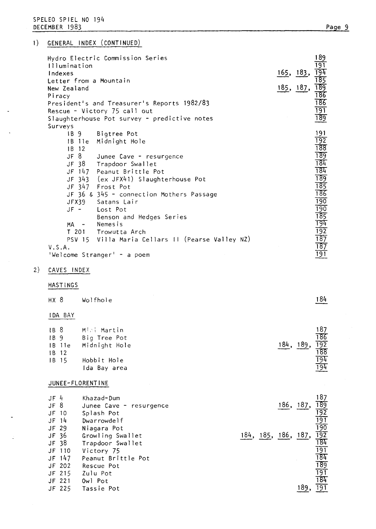| <i>Illumination</i><br>Indexes<br>Letter from a Mountain<br>New Zealand<br>Piracy | Hydro Electric Commission Series<br>President's and Treasurer's Reports 1982/83<br>Rescue - Victory 75 call out<br>Slaughterhouse Pot survey - predictive notes                                                                                                                                | 165, 183,<br><u>185, 187, </u> | 189<br>19T<br>194<br>185<br>$\frac{189}{186}$<br>186<br>191<br>189                                          |
|-----------------------------------------------------------------------------------|------------------------------------------------------------------------------------------------------------------------------------------------------------------------------------------------------------------------------------------------------------------------------------------------|--------------------------------|-------------------------------------------------------------------------------------------------------------|
| Surveys<br>IB 9<br>1B 11e<br>1B 12<br>JF 8<br>$JF -$                              | Bigtree Pot<br>Midnight Hole<br>Junee Cave - resurgence<br>JF 38 Trapdoor Swallet<br>JF 147 Peanut Brittle Pot<br>JF 343 (ex JFX41) Slaughterhouse Pot<br>JF 347 Frost Pot<br>JF 36 & 345 - connection Mothers Passage<br>JFX39 Satans Lair<br>Lost Pot<br>Benson and Hedges Series<br>Nemesis |                                | 191<br>$\overline{192}$<br>188<br>189<br>184<br>184<br>189<br>185<br>186<br>190<br>190<br>$\frac{185}{194}$ |
| $MA -$<br>V.S.A.                                                                  | T 201 Trowutta Arch<br>PSV 15 Villa Maria Cellars II (Pearse Valley NZ)                                                                                                                                                                                                                        |                                | 192<br>187<br>187                                                                                           |
|                                                                                   | 'Welcome Stranger' - a poem                                                                                                                                                                                                                                                                    |                                | 191                                                                                                         |

- 2) CAVES INDEX
	- **HASTINGS**

| $HX$ 8                                               | Wolfhole                                                                     |           | 184                                                  |
|------------------------------------------------------|------------------------------------------------------------------------------|-----------|------------------------------------------------------|
| <b>IDA BAY</b>                                       |                                                                              |           |                                                      |
| IB <sub>8</sub><br>IB9<br>$1B$ 11e<br>1B 12<br>IB 15 | -Mini Martin<br>Big Tree Pot<br>Midnight Hole<br>Hobbit Hole<br>Ida Bay area | 184, 189, | 187<br>186<br>$\frac{192}{188}$<br>$\frac{194}{194}$ |

# JUNEE-FLORENT INE

| $JF$ 4   |          | Khazad-Dum                              |      |       | 187                                    |
|----------|----------|-----------------------------------------|------|-------|----------------------------------------|
| $JF$ $8$ |          | Junee Cave - resurgence                 | 186, | -187, | 189                                    |
| $JF$ 10  |          | Splash Pot                              |      |       | $\overline{192}$                       |
| $JF$ 14  |          | Dwarrowdelf                             |      |       | $\frac{191}{190}$<br>$\frac{190}{192}$ |
| $JF$ 29  |          | Niagara Pot                             |      |       |                                        |
| JF 36    |          | 184, 185, 186, 187,<br>Growling Swallet |      |       |                                        |
| JF 38    |          | Trapdoor Swallet                        |      |       | 184                                    |
|          | $JF$ 110 | Victory 75                              |      |       | 191                                    |
|          | JF $147$ | Peanut Brittle Pot                      |      |       | 184                                    |
|          | JF 202   | Rescue Pot                              |      |       | 189                                    |
|          | $JF$ 215 | Zulu Pot                                |      |       | 191                                    |
|          | JF 221   | Owl Pot                                 |      |       | 184                                    |
|          | JF 225   | Tassie Pot                              |      |       | 191                                    |
|          |          |                                         |      |       |                                        |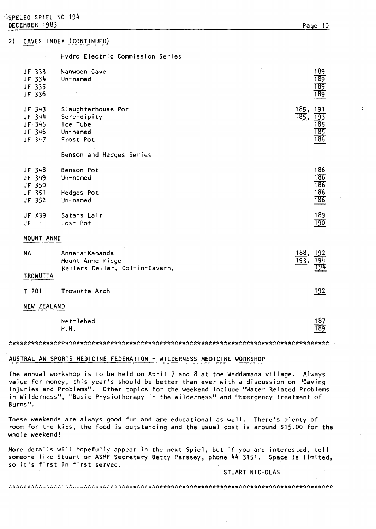#### CAVES INDEX (CONTINUED)  $2)$

Hydro Electric Commission Series

| JF 333<br>JF 334<br>JF 335<br>JF 336             | Nanwoon Cave<br>Un-named<br>$\mathbf{H}$<br>$\ddot{\phantom{1}}$       | 189<br>189<br>189<br>189                                      |
|--------------------------------------------------|------------------------------------------------------------------------|---------------------------------------------------------------|
| JF 343<br>$JF$ 344<br>JF 345<br>JF 346<br>JF 347 | Slaughterhouse Pot<br>Serendipity<br>Ice Tube<br>Un-named<br>Frost Pot | 185,<br>191<br>$\overline{185}$ ,<br>193<br>185<br>185<br>186 |
|                                                  | Benson and Hedges Series                                               |                                                               |
| JF 348<br>JF 349<br>JF 350<br>JF 351<br>JF 352   | Benson Pot<br>Un-named<br>$\pm 1$<br>Hedges Pot<br>Un-named            | 186<br>186<br>186<br>186<br>186                               |
| JF X39<br>JF                                     | Satans Lair<br>Lost Pot                                                | 189<br>190                                                    |

#### MOUNT ANNE

| МA       | Anne-a-Kananda<br>Mount Anne ridge<br>Kellers Cellar, Col-in-Cavern, | 188,<br>192<br>ाप |
|----------|----------------------------------------------------------------------|-------------------|
| TROWUTTA |                                                                      |                   |
| T 201    | Trowutta Arch                                                        | 192               |

### NEW ZEALAND

| Nettlebed | 187          |
|-----------|--------------|
| H.H.      | 189<br>_____ |

# AUSTRALIAN SPORTS MEDICINE FEDERATION - WILDERNESS MEDICINE WORKSHOP

The annual workshop is to be held on April 7 and 8 at the Waddamana village. Always value for money, this year's should be better than ever with a discussion on "Caving Injuries and Problems". Other topics for the weekend include "Water Related Problems in Wilderness", "Basic Physiotherapy in the Wilderness" and "Emergency Treatment of Burns".

These weekends are always good fun and are educational as well. There's plenty of room for the kids, the food is outstanding and the usual cost is around \$15.00 for the who le weekend!

More details will hopefully appear in the next Spiel, but if you are interested, tell someone like Stuart or ASMF Secretary Betty Parssey, phone 44 3151. Space is limited, so it's first in first served.

# STUART NICHOLAS